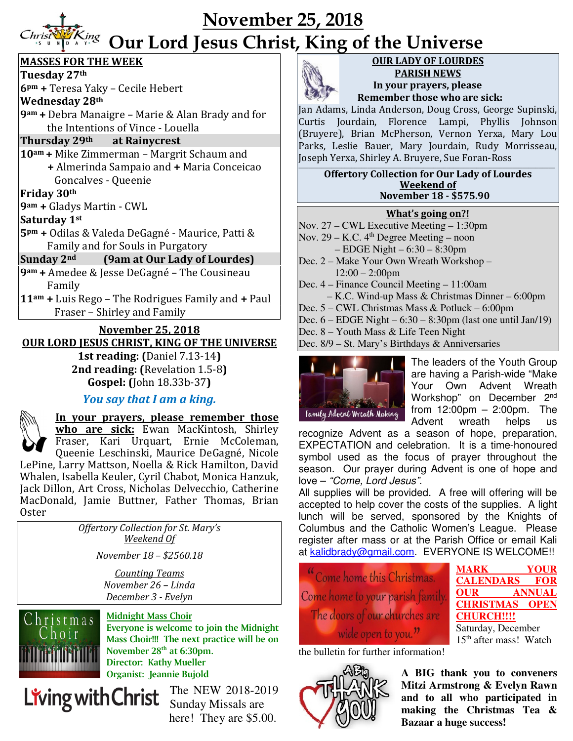# November 25, 2018  $K_{\tiny \!\!1}^{\tiny \!\!1}$   $_{\tiny \!\!1}^{\tiny \!\!1}$   $_{\tiny \!\!1}^{\tiny \!\!1}$   $_{\tiny \!\!1}^{\tiny \!\!1}$   $_{\tiny \!\!1}^{\tiny \!\!1}$   $_{\tiny \!\!1}^{\tiny \!\!1}$   $_{\tiny \!\!1}^{\tiny \!\!1}$   $_{\tiny \!\!1}^{\tiny \!\!1}$   $_{\tiny \!\!1}^{\tiny \!\!1}$   $_{\tiny \!\!1}^{\tiny \!\!1}$   $_{\tiny \!\!1}^{\tiny \!\!1}$   $_{\tiny \!\!1}^{\$

### MASSES FOR THE WEEK

### Tuesday 27th

6pm + Teresa Yaky – Cecile Hebert

### Wednesday 28th

9am + Debra Manaigre – Marie & Alan Brady and for the Intentions of Vince - Louella

### Thursday 29<sup>th</sup> at Rainycrest

10<sup>am</sup> + Mike Zimmerman - Margrit Schaum and + Almerinda Sampaio and + Maria Conceicao Goncalves - Queenie

### Friday 30th

9am + Gladys Martin - CWL

### Saturday 1st

- 5pm + Odilas & Valeda DeGagné Maurice, Patti & Family and for Souls in Purgatory
- Sunday 2<sup>nd</sup> (9am at Our Lady of Lourdes)
- 9am + Amedee & Jesse DeGagné The Cousineau Family
- 11am + Luis Rego The Rodrigues Family and + Paul Fraser – Shirley and Family

## November 25, 2018

OUR LORD JESUS CHRIST, KING OF THE UNIVERSE

1st reading: (Daniel 7.13-14) 2nd reading: (Revelation 1.5-8) Gospel: (John 18.33b-37)

### You say that I am a king.



In your prayers, please remember those who are sick: Ewan MacKintosh, Shirley Fraser, Kari Urquart, Ernie McColeman, Queenie Leschinski, Maurice DeGagné, Nicole

LePine, Larry Mattson, Noella & Rick Hamilton, David Whalen, Isabella Keuler, Cyril Chabot, Monica Hanzuk, Jack Dillon, Art Cross, Nicholas Delvecchio, Catherine MacDonald, Jamie Buttner, Father Thomas, Brian Oster

> Offertory Collection for St. Mary's Weekend Of

> > November 18 – \$2560.18

Counting Teams November 26 – Linda December 3 - Evelyn

# Christmas

Midnight Mass Choir Everyone is welcome to join the Midnight Mass Choir!!! The next practice will be on November 28<sup>th</sup> at 6:30pm. Director: Kathy Mueller Organist: Jeannie Bujold

The NEW 2018-2019 Sunday Missals are here! They are \$5.00.



### OUR LADY OF LOURDES PARISH NEWS In your prayers, please Remember those who are sick:

Jan Adams, Linda Anderson, Doug Cross, George Supinski, Curtis Jourdain, Florence Lampi, Phyllis Johnson (Bruyere), Brian McPherson, Vernon Yerxa, Mary Lou Parks, Leslie Bauer, Mary Jourdain, Rudy Morrisseau, Joseph Yerxa, Shirley A. Bruyere, Sue Foran-Ross

#### $\_$  , and the set of the set of the set of the set of the set of the set of the set of the set of the set of the set of the set of the set of the set of the set of the set of the set of the set of the set of the set of th Offertory Collection for Our Lady of Lourdes Weekend of November 18 - \$575.90

### What's going on?!

- Nov. 27 CWL Executive Meeting 1:30pm
- Nov. 29 K.C.  $4<sup>th</sup>$  Degree Meeting noon  $-$  EDGE Night  $-$  6:30  $-$  8:30pm
- Dec. 2 Make Your Own Wreath Workshop 12:00 – 2:00pm
- Dec. 4 Finance Council Meeting 11:00am
	- K.C. Wind-up Mass & Christmas Dinner 6:00pm
- Dec. 5 CWL Christmas Mass & Potluck 6:00pm

Dec.  $6 - EDGE Night - 6:30 - 8:30pm$  (last one until Jan/19)

- Dec. 8 Youth Mass & Life Teen Night
- Dec. 8/9 St. Mary's Birthdays & Anniversaries



The leaders of the Youth Group are having a Parish-wide "Make Your Own Advent Wreath Workshop" on December 2nd from 12:00pm – 2:00pm. The Advent wreath helps us

recognize Advent as a season of hope, preparation, EXPECTATION and celebration. It is a time-honoured symbol used as the focus of prayer throughout the season. Our prayer during Advent is one of hope and love – "Come, Lord Jesus".

All supplies will be provided. A free will offering will be accepted to help cover the costs of the supplies. A light lunch will be served, sponsored by the Knights of Columbus and the Catholic Women's League. Please register after mass or at the Parish Office or email Kali at kalidbrady@gmail.com. EVERYONE IS WELCOME!!

| <sup>"</sup> Come home this Christmas. |
|----------------------------------------|
| Come home to your parish family. I     |
| The doors of our churches are          |
| wide open to you."                     |

**MARK YOUR CALENDARS FOR OUR ANNUAL CHRISTMAS OPEN CHURCH!!!!**  Saturday, December 15th after mass! Watch

the bulletin for further information!



**A BIG thank you to conveners Mitzi Armstrong & Evelyn Rawn and to all who participated in making the Christmas Tea & Bazaar a huge success!**